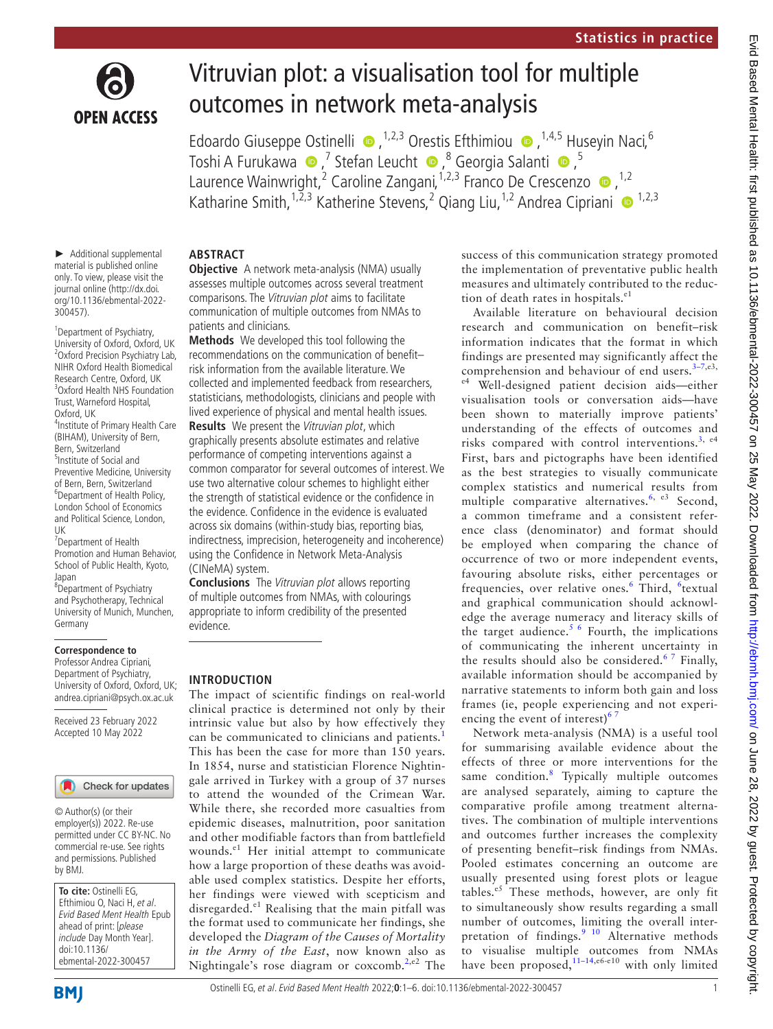

# Vitruvian plot: a visualisation tool for multiple outcomes in network meta-analysis

EdoardoGiuseppe Ostinelli  $\bullet$ , <sup>1,2,3</sup> Orestis Efthimiou  $\bullet$ , <sup>1,4,5</sup> Huseyin Naci, <sup>6</sup> ToshiA Furukawa ●,<sup>7</sup> Stefan Leucht ●,<sup>8</sup> Georgia Salanti ●,<sup>5</sup> LaurenceWainwright,<sup>2</sup> Caroline Zangani,<sup>1,2,3</sup> Franco De Crescenzo <sup>1,2</sup> Katharine Smith,  $1,2,3$  Katherine Stevens, 2 Qiang Liu,  $1,2$  Andrea Cipriani  $\bullet$   $1,2,3$ 

► Additional supplemental material is published online only. To view, please visit the journal online ([http://dx.doi.](http://dx.doi.org/10.1136/ebmental-2022-300457) [org/10.1136/ebmental-2022-](http://dx.doi.org/10.1136/ebmental-2022-300457) **ABSTRACT**

[300457](http://dx.doi.org/10.1136/ebmental-2022-300457)).

<sup>1</sup>Department of Psychiatry, University of Oxford, Oxford, UK 2 Oxford Precision Psychiatry Lab, NIHR Oxford Health Biomedical Research Centre, Oxford, UK 3 Oxford Health NHS Foundation Trust, Warneford Hospital, Oxford, UK 4 Institute of Primary Health Care (BIHAM), University of Bern, Bern, Switzerland 5 Institute of Social and Preventive Medicine, University of Bern, Bern, Switzerland 6 Department of Health Policy, London School of Economics and Political Science, London, UK

7 Department of Health Promotion and Human Behavior, School of Public Health, Kyoto, Japan

8 Department of Psychiatry and Psychotherapy, Technical University of Munich, Munchen, Germany

#### **Correspondence to**

Professor Andrea Cipriani, Department of Psychiatry, University of Oxford, Oxford, UK; andrea.cipriani@psych.ox.ac.uk

Received 23 February 2022 Accepted 10 May 2022

# Check for updates

© Author(s) (or their employer(s)) 2022. Re-use permitted under CC BY-NC. No commercial re-use. See rights and permissions. Published by BMJ.

**To cite:** Ostinelli EG, Efthimiou O, Naci H, et al. Evid Based Ment Health Epub ahead of print: [please include Day Month Year]. doi:10.1136/ ebmental-2022-300457

**Objective** A network meta-analysis (NMA) usually assesses multiple outcomes across several treatment comparisons. The Vitruvian plot aims to facilitate communication of multiple outcomes from NMAs to patients and clinicians.

**Methods** We developed this tool following the recommendations on the communication of benefit– risk information from the available literature. We collected and implemented feedback from researchers, statisticians, methodologists, clinicians and people with lived experience of physical and mental health issues.

**Results** We present the Vitruvian plot, which graphically presents absolute estimates and relative performance of competing interventions against a common comparator for several outcomes of interest. We use two alternative colour schemes to highlight either the strength of statistical evidence or the confidence in the evidence. Confidence in the evidence is evaluated across six domains (within-study bias, reporting bias, indirectness, imprecision, heterogeneity and incoherence) using the Confidence in Network Meta-Analysis (CINeMA) system.

**Conclusions** The Vitruvian plot allows reporting of multiple outcomes from NMAs, with colourings appropriate to inform credibility of the presented evidence.

# **INTRODUCTION**

The impact of scientific findings on real-world clinical practice is determined not only by their intrinsic value but also by how effectively they can be communicated to clinicians and patients.<sup>[1](#page-4-0)</sup> This has been the case for more than 150 years. In 1854, nurse and statistician Florence Nightingale arrived in Turkey with a group of 37 nurses to attend the wounded of the Crimean War. While there, she recorded more casualties from epidemic diseases, malnutrition, poor sanitation and other modifiable factors than from battlefield wounds.<sup>e1</sup> Her initial attempt to communicate how a large proportion of these deaths was avoidable used complex statistics. Despite her efforts, her findings were viewed with scepticism and disregarded.<sup>e1</sup> Realising that the main pitfall was the format used to communicate her findings, she developed the *Diagram of the Causes of Mortality in the Army of the East*, now known also as Nightingale's rose diagram or coxcomb.<sup>[2](#page-4-1),e2</sup> The

success of this communication strategy promoted the implementation of preventative public health measures and ultimately contributed to the reduction of death rates in hospitals.<sup>e1</sup>

Available literature on behavioural decision research and communication on benefit–risk information indicates that the format in which findings are presented may significantly affect the comprehension and behaviour of end users. $3-7, e3$ , e4 Well-designed patient decision aids—either visualisation tools or conversation aids—have been shown to materially improve patients' understanding of the effects of outcomes and risks compared with control interventions.<sup>[3,](#page-4-2) e4</sup> First, bars and pictographs have been identified as the best strategies to visually communicate complex statistics and numerical results from multiple comparative alternatives.<sup>[6](#page-4-3), e3</sup> Second, a common timeframe and a consistent reference class (denominator) and format should be employed when comparing the chance of occurrence of two or more independent events, favouring absolute risks, either percentages or frequencies, over relative ones.<sup>[6](#page-4-3)</sup> Third, <sup>6</sup>textual and graphical communication should acknowledge the average numeracy and literacy skills of the target audience.<sup>[5 6](#page-4-4)</sup> Fourth, the implications of communicating the inherent uncertainty in the results should also be considered.<sup>67</sup> Finally, available information should be accompanied by narrative statements to inform both gain and loss frames (ie, people experiencing and not experiencing the event of interest) $<sup>6</sup>$ </sup>

Network meta-analysis (NMA) is a useful tool for summarising available evidence about the effects of three or more interventions for the same condition.<sup>[8](#page-4-5)</sup> Typically multiple outcomes are analysed separately, aiming to capture the comparative profile among treatment alternatives. The combination of multiple interventions and outcomes further increases the complexity of presenting benefit–risk findings from NMAs. Pooled estimates concerning an outcome are usually presented using forest plots or league tables. $e^5$  These methods, however, are only fit to simultaneously show results regarding a small number of outcomes, limiting the overall interpretation of findings.<sup>9 10</sup> Alternative methods to visualise multiple outcomes from NMAs have been proposed,  $11-14, e6-e10$  with only limited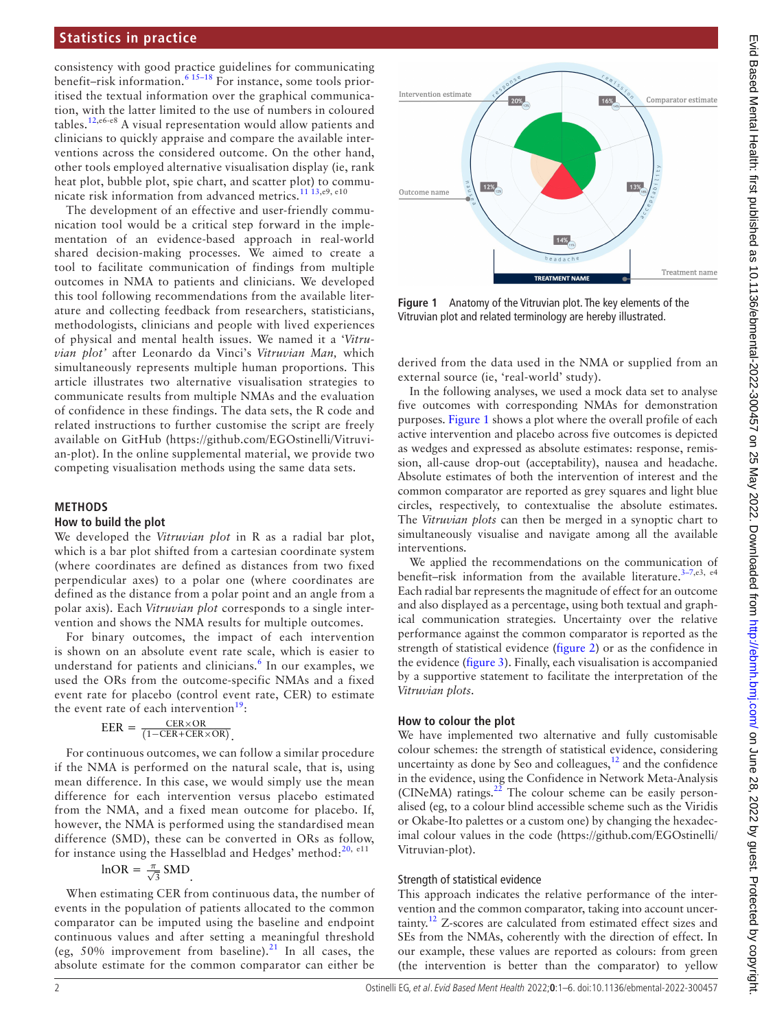## **Statistics in practice**

consistency with good practice guidelines for communicating benefit–risk information.<sup>[6 15–18](#page-4-3)</sup> For instance, some tools prioritised the textual information over the graphical communication, with the latter limited to the use of numbers in coloured tables.[12,](#page-4-8)e6-e8 A visual representation would allow patients and clinicians to quickly appraise and compare the available interventions across the considered outcome. On the other hand, other tools employed alternative visualisation display (ie, rank heat plot, bubble plot, spie chart, and scatter plot) to communicate risk information from advanced metrics.[11 13,](#page-4-7)e9, e10

The development of an effective and user-friendly communication tool would be a critical step forward in the implementation of an evidence-based approach in real-world shared decision-making processes. We aimed to create a tool to facilitate communication of findings from multiple outcomes in NMA to patients and clinicians. We developed this tool following recommendations from the available literature and collecting feedback from researchers, statisticians, methodologists, clinicians and people with lived experiences of physical and mental health issues. We named it a '*Vitruvian plot'* after Leonardo da Vinci's *Vitruvian Man,* which simultaneously represents multiple human proportions. This article illustrates two alternative visualisation strategies to communicate results from multiple NMAs and the evaluation of confidence in these findings. The data sets, the R code and related instructions to further customise the script are freely available on GitHub ([https://github.com/EGOstinelli/Vitruvi](https://github.com/EGOstinelli/Vitruvian-plot)[an-plot\)](https://github.com/EGOstinelli/Vitruvian-plot). In the [online supplemental material](https://dx.doi.org/10.1136/ebmental-2022-300457), we provide two competing visualisation methods using the same data sets.

#### **METHODS**

#### **How to build the plot**

We developed the *Vitruvian plot* in R as a radial bar plot, which is a bar plot shifted from a cartesian coordinate system (where coordinates are defined as distances from two fixed perpendicular axes) to a polar one (where coordinates are defined as the distance from a polar point and an angle from a polar axis). Each *Vitruvian plot* corresponds to a single intervention and shows the NMA results for multiple outcomes.

For binary outcomes, the impact of each intervention is shown on an absolute event rate scale, which is easier to understand for patients and clinicians.<sup>[6](#page-4-3)</sup> In our examples, we used the ORs from the outcome-specific NMAs and a fixed event rate for placebo (control event rate, CER) to estimate the event rate of each intervention<sup>19</sup>:

$$
EER = \frac{CER \times OR}{(1 - CER + CER \times OR)}.
$$

For continuous outcomes, we can follow a similar procedure if the NMA is performed on the natural scale, that is, using mean difference. In this case, we would simply use the mean difference for each intervention versus placebo estimated from the NMA, and a fixed mean outcome for placebo. If, however, the NMA is performed using the standardised mean difference (SMD), these can be converted in ORs as follow, for instance using the Hasselblad and Hedges' method: $20$ ,  $e^{11}$ 

$$
InOR = \frac{\pi}{\sqrt{3}} SMD
$$

When estimating CER from continuous data, the number of events in the population of patients allocated to the common comparator can be imputed using the baseline and endpoint continuous values and after setting a meaningful threshold (eg, 50% improvement from baseline).<sup>[21](#page-4-11)</sup> In all cases, the absolute estimate for the common comparator can either be



<span id="page-1-0"></span>**Figure 1** Anatomy of the Vitruvian plot. The key elements of the Vitruvian plot and related terminology are hereby illustrated.

derived from the data used in the NMA or supplied from an external source (ie, 'real-world' study).

In the following analyses, we used a mock data set to analyse five outcomes with corresponding NMAs for demonstration purposes. [Figure](#page-1-0) 1 shows a plot where the overall profile of each active intervention and placebo across five outcomes is depicted as wedges and expressed as absolute estimates: response, remission, all-cause drop-out (acceptability), nausea and headache. Absolute estimates of both the intervention of interest and the common comparator are reported as grey squares and light blue circles, respectively, to contextualise the absolute estimates. The *Vitruvian plots* can then be merged in a synoptic chart to simultaneously visualise and navigate among all the available interventions.

We applied the recommendations on the communication of benefit-risk information from the available literature.<sup>3-7,e3, e4</sup> Each radial bar represents the magnitude of effect for an outcome and also displayed as a percentage, using both textual and graphical communication strategies. Uncertainty over the relative performance against the common comparator is reported as the strength of statistical evidence ([figure](#page-2-0) 2) or as the confidence in the evidence [\(figure](#page-2-1) 3). Finally, each visualisation is accompanied by a supportive statement to facilitate the interpretation of the *Vitruvian plots*.

#### **How to colour the plot**

We have implemented two alternative and fully customisable colour schemes: the strength of statistical evidence, considering uncertainty as done by Seo and colleagues, $12$  and the confidence in the evidence, using the Confidence in Network Meta-Analysis (CINeMA) ratings. $^{22}$  $^{22}$  $^{22}$  The colour scheme can be easily personalised (eg, to a colour blind accessible scheme such as the Viridis or Okabe-Ito palettes or a custom one) by changing the hexadecimal colour values in the code [\(https://github.com/EGOstinelli/](https://github.com/EGOstinelli/Vitruvian-plot) [Vitruvian-plot](https://github.com/EGOstinelli/Vitruvian-plot)).

#### Strength of statistical evidence

This approach indicates the relative performance of the intervention and the common comparator, taking into account uncer- $\tau$ tainty.<sup>12</sup> Z-scores are calculated from estimated effect sizes and SEs from the NMAs, coherently with the direction of effect. In our example, these values are reported as colours: from green (the intervention is better than the comparator) to yellow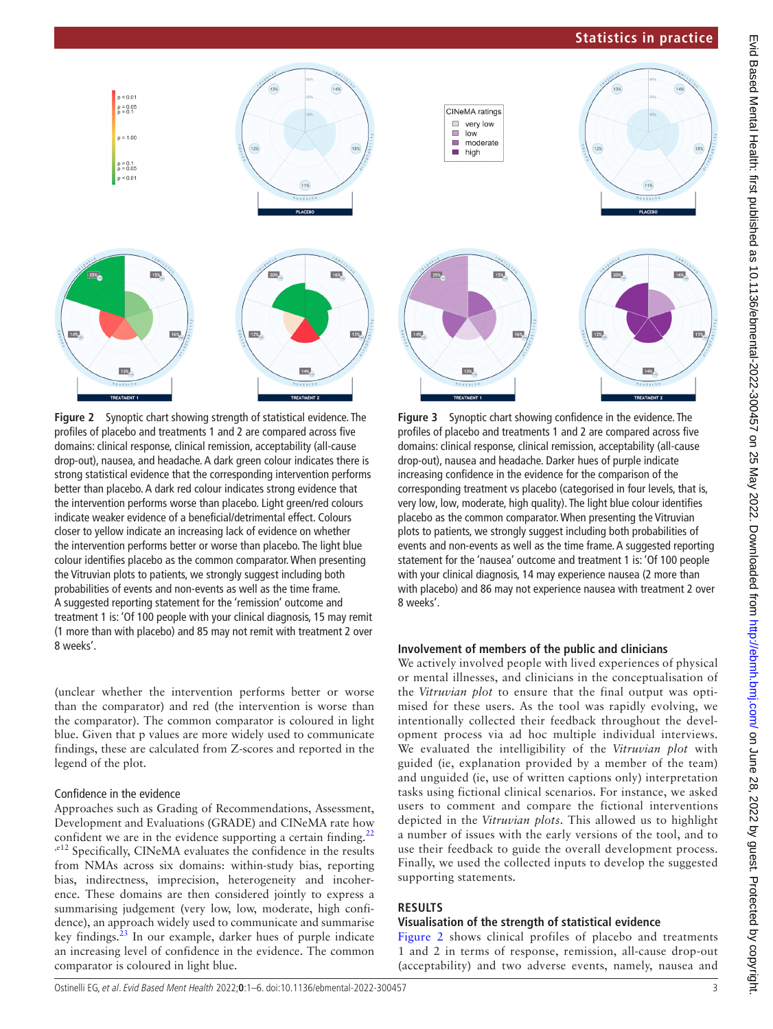# **Statistics in practice**





<span id="page-2-0"></span>**Figure 2** Synoptic chart showing strength of statistical evidence. The profiles of placebo and treatments 1 and 2 are compared across five domains: clinical response, clinical remission, acceptability (all-cause drop-out), nausea, and headache. A dark green colour indicates there is strong statistical evidence that the corresponding intervention performs better than placebo. A dark red colour indicates strong evidence that the intervention performs worse than placebo. Light green/red colours indicate weaker evidence of a beneficial/detrimental effect. Colours closer to yellow indicate an increasing lack of evidence on whether the intervention performs better or worse than placebo. The light blue colour identifies placebo as the common comparator. When presenting the Vitruvian plots to patients, we strongly suggest including both probabilities of events and non-events as well as the time frame. A suggested reporting statement for the 'remission' outcome and treatment 1 is: 'Of 100 people with your clinical diagnosis, 15 may remit (1 more than with placebo) and 85 may not remit with treatment 2 over 8 weeks'.

(unclear whether the intervention performs better or worse than the comparator) and red (the intervention is worse than the comparator). The common comparator is coloured in light blue. Given that p values are more widely used to communicate findings, these are calculated from Z-scores and reported in the legend of the plot.

# Confidence in the evidence

Approaches such as Grading of Recommendations, Assessment, Development and Evaluations (GRADE) and CINeMA rate how confident we are in the evidence supporting a certain finding. $<sup>2</sup>$ </sup> <sup>,e12</sup> Specifically, CINeMA evaluates the confidence in the results from NMAs across six domains: within-study bias, reporting bias, indirectness, imprecision, heterogeneity and incoherence. These domains are then considered jointly to express a summarising judgement (very low, low, moderate, high confidence), an approach widely used to communicate and summarise key findings.<sup>23</sup> In our example, darker hues of purple indicate an increasing level of confidence in the evidence. The common comparator is coloured in light blue.



<span id="page-2-1"></span>**Figure 3** Synoptic chart showing confidence in the evidence. The profiles of placebo and treatments 1 and 2 are compared across five domains: clinical response, clinical remission, acceptability (all-cause drop-out), nausea and headache. Darker hues of purple indicate increasing confidence in the evidence for the comparison of the corresponding treatment vs placebo (categorised in four levels, that is, very low, low, moderate, high quality). The light blue colour identifies placebo as the common comparator. When presenting the Vitruvian plots to patients, we strongly suggest including both probabilities of events and non-events as well as the time frame. A suggested reporting statement for the 'nausea' outcome and treatment 1 is: 'Of 100 people with your clinical diagnosis, 14 may experience nausea (2 more than with placebo) and 86 may not experience nausea with treatment 2 over 8 weeks'.

### **Involvement of members of the public and clinicians**

We actively involved people with lived experiences of physical or mental illnesses, and clinicians in the conceptualisation of the *Vitruvian plot* to ensure that the final output was optimised for these users. As the tool was rapidly evolving, we intentionally collected their feedback throughout the development process via ad hoc multiple individual interviews. We evaluated the intelligibility of the *Vitruvian plot* with guided (ie, explanation provided by a member of the team) and unguided (ie, use of written captions only) interpretation tasks using fictional clinical scenarios. For instance, we asked users to comment and compare the fictional interventions depicted in the *Vitruvian plots*. This allowed us to highlight a number of issues with the early versions of the tool, and to use their feedback to guide the overall development process. Finally, we used the collected inputs to develop the suggested supporting statements.

# **RESULTS**

#### **Visualisation of the strength of statistical evidence**

[Figure](#page-2-0) 2 shows clinical profiles of placebo and treatments 1 and 2 in terms of response, remission, all-cause drop-out (acceptability) and two adverse events, namely, nausea and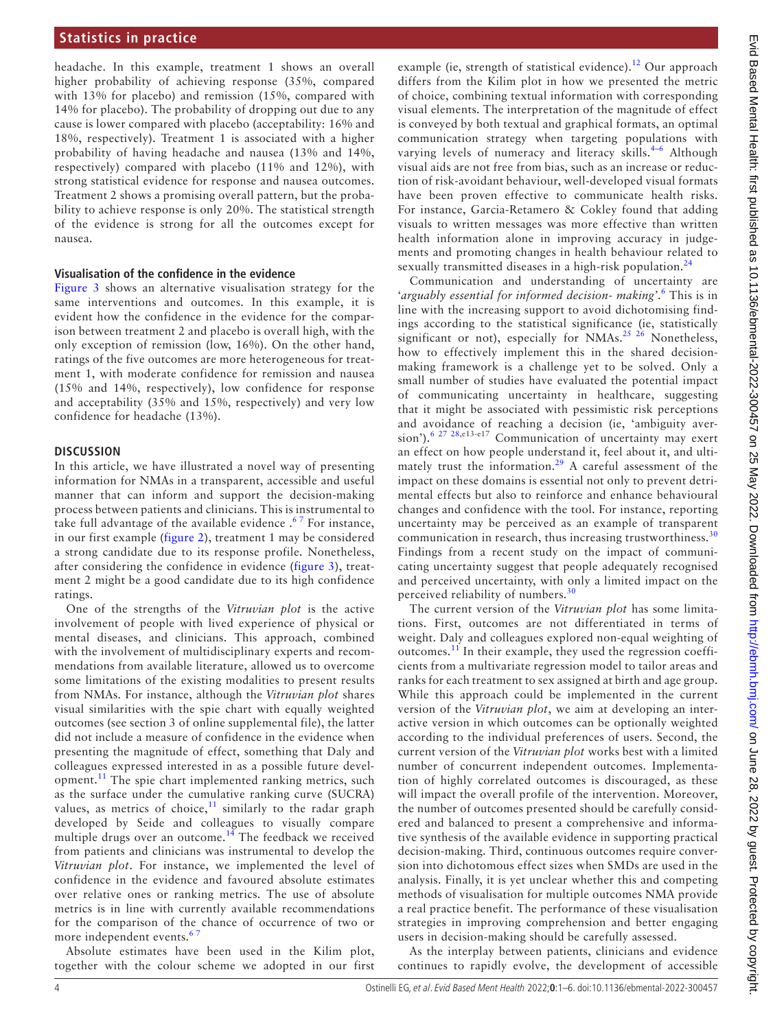headache. In this example, treatment 1 shows an overall higher probability of achieving response (35%, compared with 13% for placebo) and remission (15%, compared with 14% for placebo). The probability of dropping out due to any cause is lower compared with placebo (acceptability: 16% and 18%, respectively). Treatment 1 is associated with a higher probability of having headache and nausea (13% and 14%, respectively) compared with placebo (11% and 12%), with strong statistical evidence for response and nausea outcomes. Treatment 2 shows a promising overall pattern, but the probability to achieve response is only 20%. The statistical strength of the evidence is strong for all the outcomes except for nausea.

#### **Visualisation of the confidence in the evidence**

[Figure](#page-2-1) 3 shows an alternative visualisation strategy for the same interventions and outcomes. In this example, it is evident how the confidence in the evidence for the comparison between treatment 2 and placebo is overall high, with the only exception of remission (low, 16%). On the other hand, ratings of the five outcomes are more heterogeneous for treatment 1, with moderate confidence for remission and nausea (15% and 14%, respectively), low confidence for response and acceptability (35% and 15%, respectively) and very low confidence for headache (13%).

### **DISCUSSION**

In this article, we have illustrated a novel way of presenting information for NMAs in a transparent, accessible and useful manner that can inform and support the decision-making process between patients and clinicians. This is instrumental to take full advantage of the available evidence  $.67$  For instance, in our first example [\(figure](#page-2-0) 2), treatment 1 may be considered a strong candidate due to its response profile. Nonetheless, after considering the confidence in evidence ([figure](#page-2-1) 3), treatment 2 might be a good candidate due to its high confidence ratings.

One of the strengths of the *Vitruvian plot* is the active involvement of people with lived experience of physical or mental diseases, and clinicians. This approach, combined with the involvement of multidisciplinary experts and recommendations from available literature, allowed us to overcome some limitations of the existing modalities to present results from NMAs. For instance, although the *Vitruvian plot* shares visual similarities with the spie chart with equally weighted outcomes (see section 3 of [online supplemental file](https://dx.doi.org/10.1136/ebmental-2022-300457)), the latter did not include a measure of confidence in the evidence when presenting the magnitude of effect, something that Daly and colleagues expressed interested in as a possible future devel-opment.<sup>[11](#page-4-7)</sup> The spie chart implemented ranking metrics, such as the surface under the cumulative ranking curve (SUCRA) values, as metrics of choice, $11$  similarly to the radar graph developed by Seide and colleagues to visually compare multiple drugs over an outcome.<sup>[14](#page-4-14)</sup> The feedback we received from patients and clinicians was instrumental to develop the *Vitruvian plot*. For instance, we implemented the level of confidence in the evidence and favoured absolute estimates over relative ones or ranking metrics. The use of absolute metrics is in line with currently available recommendations for the comparison of the chance of occurrence of two or more independent events.<sup>6</sup>

Absolute estimates have been used in the Kilim plot, together with the colour scheme we adopted in our first

example (ie, strength of statistical evidence).<sup>12</sup> Our approach differs from the Kilim plot in how we presented the metric of choice, combining textual information with corresponding visual elements. The interpretation of the magnitude of effect is conveyed by both textual and graphical formats, an optimal communication strategy when targeting populations with varying levels of numeracy and literacy skills.<sup>4-6</sup> Although visual aids are not free from bias, such as an increase or reduction of risk-avoidant behaviour, well-developed visual formats have been proven effective to communicate health risks. For instance, Garcia-Retamero & Cokley found that adding visuals to written messages was more effective than written health information alone in improving accuracy in judgements and promoting changes in health behaviour related to sexually transmitted diseases in a high-risk population. $24$ 

Communication and understanding of uncertainty are 'arguably essential for informed decision- making'.<sup>[6](#page-4-3)</sup> This is in line with the increasing support to avoid dichotomising findings according to the statistical significance (ie, statistically significant or not), especially for NMAs.<sup>[25 26](#page-5-1)</sup> Nonetheless, how to effectively implement this in the shared decisionmaking framework is a challenge yet to be solved. Only a small number of studies have evaluated the potential impact of communicating uncertainty in healthcare, suggesting that it might be associated with pessimistic risk perceptions and avoidance of reaching a decision (ie, 'ambiguity aver-sion').<sup>[6 27 28](#page-4-3),e13-e17</sup> Communication of uncertainty may exert an effect on how people understand it, feel about it, and ultimately trust the information.<sup>29</sup> A careful assessment of the impact on these domains is essential not only to prevent detrimental effects but also to reinforce and enhance behavioural changes and confidence with the tool. For instance, reporting uncertainty may be perceived as an example of transparent communication in research, thus increasing trustworthiness.<sup>[30](#page-5-3)</sup> Findings from a recent study on the impact of communicating uncertainty suggest that people adequately recognised and perceived uncertainty, with only a limited impact on the perceived reliability of numbers.<sup>[30](#page-5-3)</sup>

The current version of the *Vitruvian plot* has some limitations. First, outcomes are not differentiated in terms of weight. Daly and colleagues explored non-equal weighting of outcomes.[11](#page-4-7) In their example, they used the regression coefficients from a multivariate regression model to tailor areas and ranks for each treatment to sex assigned at birth and age group. While this approach could be implemented in the current version of the *Vitruvian plot*, we aim at developing an interactive version in which outcomes can be optionally weighted according to the individual preferences of users. Second, the current version of the *Vitruvian plot* works best with a limited number of concurrent independent outcomes. Implementation of highly correlated outcomes is discouraged, as these will impact the overall profile of the intervention. Moreover, the number of outcomes presented should be carefully considered and balanced to present a comprehensive and informative synthesis of the available evidence in supporting practical decision-making. Third, continuous outcomes require conversion into dichotomous effect sizes when SMDs are used in the analysis. Finally, it is yet unclear whether this and competing methods of visualisation for multiple outcomes NMA provide a real practice benefit. The performance of these visualisation strategies in improving comprehension and better engaging users in decision-making should be carefully assessed.

As the interplay between patients, clinicians and evidence continues to rapidly evolve, the development of accessible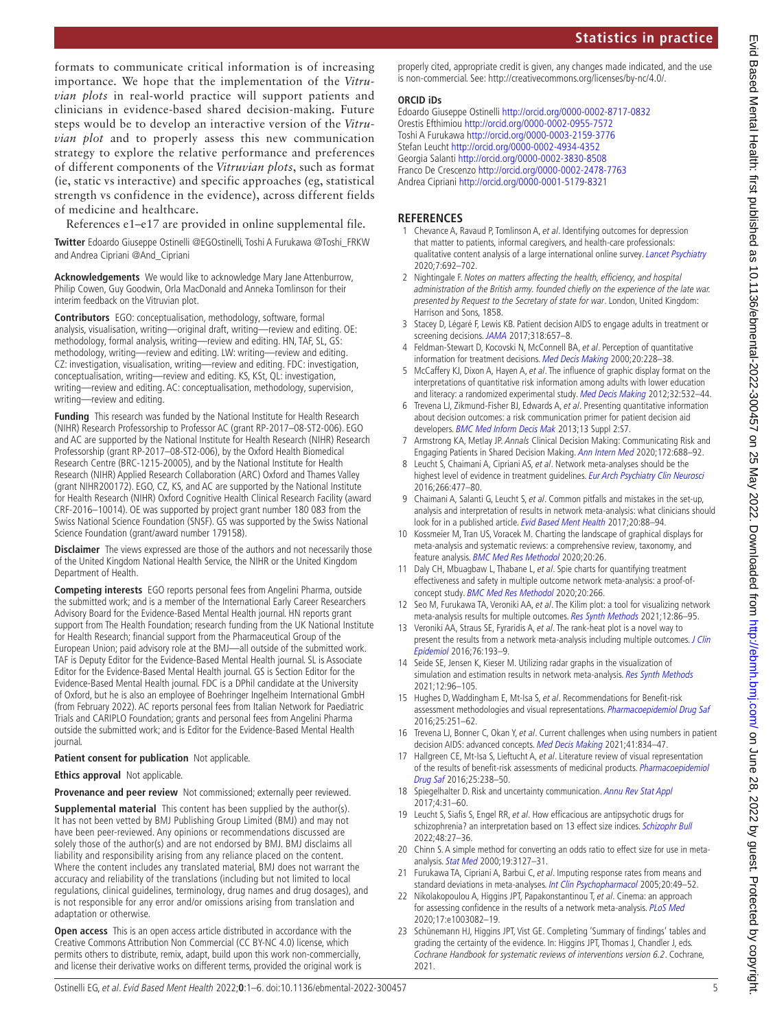formats to communicate critical information is of increasing importance. We hope that the implementation of the *Vitruvian plots* in real-world practice will support patients and clinicians in evidence-based shared decision-making. Future steps would be to develop an interactive version of the *Vitruvian plot* and to properly assess this new communication strategy to explore the relative performance and preferences of different components of the *Vitruvian plots*, such as format (ie, static vs interactive) and specific approaches (eg, statistical strength vs confidence in the evidence), across different fields of medicine and healthcare.

References e1–e17 are provided in [online supplemental file](https://dx.doi.org/10.1136/ebmental-2022-300457).

**Twitter** Edoardo Giuseppe Ostinelli [@EGOstinelli,](https://twitter.com/EGOstinelli) Toshi A Furukawa [@Toshi\\_FRKW](https://twitter.com/Toshi_FRKW)  and Andrea Cipriani [@And\\_Cipriani](https://twitter.com/And_Cipriani)

**Acknowledgements** We would like to acknowledge Mary Jane Attenburrow, Philip Cowen, Guy Goodwin, Orla MacDonald and Anneka Tomlinson for their interim feedback on the Vitruvian plot.

**Contributors** EGO: conceptualisation, methodology, software, formal analysis, visualisation, writing—original draft, writing—review and editing. OE: methodology, formal analysis, writing—review and editing. HN, TAF, SL, GS: methodology, writing—review and editing. LW: writing—review and editing. CZ: investigation, visualisation, writing—review and editing. FDC: investigation, conceptualisation, writing—review and editing. KS, KSt, QL: investigation, writing—review and editing. AC: conceptualisation, methodology, supervision, writing—review and editing.

**Funding** This research was funded by the National Institute for Health Research (NIHR) Research Professorship to Professor AC (grant RP-2017–08-ST2-006). EGO and AC are supported by the National Institute for Health Research (NIHR) Research Professorship (grant RP-2017–08-ST2-006), by the Oxford Health Biomedical Research Centre (BRC-1215-20005), and by the National Institute for Health Research (NIHR) Applied Research Collaboration (ARC) Oxford and Thames Valley (grant NIHR200172). EGO, CZ, KS, and AC are supported by the National Institute for Health Research (NIHR) Oxford Cognitive Health Clinical Research Facility (award CRF-2016–10014). OE was supported by project grant number 180 083 from the Swiss National Science Foundation (SNSF). GS was supported by the Swiss National Science Foundation (grant/award number 179158).

**Disclaimer** The views expressed are those of the authors and not necessarily those of the United Kingdom National Health Service, the NIHR or the United Kingdom Department of Health.

**Competing interests** EGO reports personal fees from Angelini Pharma, outside the submitted work; and is a member of the International Early Career Researchers Advisory Board for the Evidence-Based Mental Health journal. HN reports grant support from The Health Foundation; research funding from the UK National Institute for Health Research; financial support from the Pharmaceutical Group of the European Union; paid advisory role at the BMJ—all outside of the submitted work. TAF is Deputy Editor for the Evidence-Based Mental Health journal. SL is Associate Editor for the Evidence-Based Mental Health journal. GS is Section Editor for the Evidence-Based Mental Health journal. FDC is a DPhil candidate at the University of Oxford, but he is also an employee of Boehringer Ingelheim International GmbH (from February 2022). AC reports personal fees from Italian Network for Paediatric Trials and CARIPLO Foundation; grants and personal fees from Angelini Pharma outside the submitted work; and is Editor for the Evidence-Based Mental Health journal.

# **Patient consent for publication** Not applicable.

**Ethics approval** Not applicable.

**Provenance and peer review** Not commissioned; externally peer reviewed.

**Supplemental material** This content has been supplied by the author(s). It has not been vetted by BMJ Publishing Group Limited (BMJ) and may not have been peer-reviewed. Any opinions or recommendations discussed are solely those of the author(s) and are not endorsed by BMJ. BMJ disclaims all liability and responsibility arising from any reliance placed on the content. Where the content includes any translated material, BMJ does not warrant the accuracy and reliability of the translations (including but not limited to local regulations, clinical guidelines, terminology, drug names and drug dosages), and is not responsible for any error and/or omissions arising from translation and adaptation or otherwise.

**Open access** This is an open access article distributed in accordance with the Creative Commons Attribution Non Commercial (CC BY-NC 4.0) license, which permits others to distribute, remix, adapt, build upon this work non-commercially, and license their derivative works on different terms, provided the original work is properly cited, appropriate credit is given, any changes made indicated, and the use is non-commercial. See: [http://creativecommons.org/licenses/by-nc/4.0/.](http://creativecommons.org/licenses/by-nc/4.0/)

#### **ORCID iDs**

Edoardo Giuseppe Ostinelli<http://orcid.org/0000-0002-8717-0832> Orestis Efthimiou<http://orcid.org/0000-0002-0955-7572> Toshi A Furukawa <http://orcid.org/0000-0003-2159-3776> Stefan Leucht<http://orcid.org/0000-0002-4934-4352> Georgia Salanti<http://orcid.org/0000-0002-3830-8508> Franco De Crescenzo <http://orcid.org/0000-0002-2478-7763> Andrea Cipriani <http://orcid.org/0000-0001-5179-8321>

# **REFERENCES**

- <span id="page-4-0"></span>1 Chevance A, Ravaud P, Tomlinson A, et al. Identifying outcomes for depression that matter to patients, informal caregivers, and health-care professionals: qualitative content analysis of a large international online survey. [Lancet Psychiatry](http://dx.doi.org/10.1016/S2215-0366(20)30191-7) 2020;7:692–702.
- <span id="page-4-1"></span>2 Nightingale F. Notes on matters affecting the health, efficiency, and hospital administration of the British army. founded chiefly on the experience of the late war. presented by Request to the Secretary of state for war. London, United Kingdom: Harrison and Sons, 1858.
- <span id="page-4-2"></span>3 Stacey D, Légaré F, Lewis KB. Patient decision AIDS to engage adults in treatment or screening decisions. [JAMA](http://dx.doi.org/10.1001/jama.2017.10289) 2017;318:657-8.
- <span id="page-4-15"></span>4 Feldman-Stewart D, Kocovski N, McConnell BA, et al. Perception of quantitative information for treatment decisions. [Med Decis Making](http://dx.doi.org/10.1177/0272989X0002000208) 2000;20:228-38.
- <span id="page-4-4"></span>5 McCaffery KJ, Dixon A, Hayen A, et al. The influence of graphic display format on the interpretations of quantitative risk information among adults with lower education and literacy: a randomized experimental study. [Med Decis Making](http://dx.doi.org/10.1177/0272989X11424926) 2012;32:532-44.
- <span id="page-4-3"></span>6 Trevena LJ, Zikmund-Fisher BJ, Edwards A, et al. Presenting quantitative information about decision outcomes: a risk communication primer for patient decision aid developers. **[BMC Med Inform Decis Mak](http://dx.doi.org/10.1186/1472-6947-13-S2-S7) 2013**;13 Suppl 2:S7.
- 7 Armstrong KA, Metlay JP. Annals Clinical Decision Making: Communicating Risk and Engaging Patients in Shared Decision Making. [Ann Intern Med](http://dx.doi.org/10.7326/M19-3495) 2020;172:688–92.
- <span id="page-4-5"></span>8 Leucht S, Chaimani A, Cipriani AS, et al. Network meta-analyses should be the highest level of evidence in treatment guidelines. [Eur Arch Psychiatry Clin Neurosci](http://dx.doi.org/10.1007/s00406-016-0715-4) 2016;266:477–80.
- <span id="page-4-6"></span>9 Chaimani A, Salanti G, Leucht S, et al. Common pitfalls and mistakes in the set-up, analysis and interpretation of results in network meta-analysis: what clinicians should look for in a published article. [Evid Based Ment Health](http://dx.doi.org/10.1136/eb-2017-102753) 2017;20:88-94.
- 10 Kossmeier M, Tran US, Voracek M. Charting the landscape of graphical displays for meta-analysis and systematic reviews: a comprehensive review, taxonomy, and feature analysis. [BMC Med Res Methodol](http://dx.doi.org/10.1186/s12874-020-0911-9) 2020;20:26.
- <span id="page-4-7"></span>11 Daly CH, Mbuagbaw L, Thabane L, et al. Spie charts for quantifying treatment effectiveness and safety in multiple outcome network meta-analysis: a proof-ofconcept study. [BMC Med Res Methodol](http://dx.doi.org/10.1186/s12874-020-01128-2) 2020;20:266.
- <span id="page-4-8"></span>12 Seo M, Furukawa TA, Veroniki AA, et al. The Kilim plot: a tool for visualizing network meta-analysis results for multiple outcomes. [Res Synth Methods](http://dx.doi.org/10.1002/jrsm.1428) 2021;12:86-95.
- 13 Veroniki AA, Straus SE, Fyraridis A, et al. The rank-heat plot is a novel way to present the results from a network meta-analysis including multiple outcomes. J Clin [Epidemiol](http://dx.doi.org/10.1016/j.jclinepi.2016.02.016) 2016;76:193–9.
- <span id="page-4-14"></span>14 Seide SE, Jensen K, Kieser M. Utilizing radar graphs in the visualization of simulation and estimation results in network meta-analysis. [Res Synth Methods](http://dx.doi.org/10.1002/jrsm.1412) 2021;12:96–105.
- 15 Hughes D, Waddingham E, Mt-Isa S, et al. Recommendations for Benefit-risk assessment methodologies and visual representations. [Pharmacoepidemiol Drug Saf](http://dx.doi.org/10.1002/pds.3958) 2016;25:251–62.
- 16 Trevena LJ, Bonner C, Okan Y, et al. Current challenges when using numbers in patient decision AIDS: advanced concepts. [Med Decis Making](http://dx.doi.org/10.1177/0272989X21996342) 2021;41:834–47.
- 17 Hallgreen CE, Mt-Isa S, Lieftucht A, et al. Literature review of visual representation of the results of benefit-risk assessments of medicinal products. Pharmacoepidemiol [Drug Saf](http://dx.doi.org/10.1002/pds.3880) 2016;25:238–50.
- 18 Spiegelhalter D. Risk and uncertainty communication. [Annu Rev Stat Appl](http://dx.doi.org/10.1146/annurev-statistics-010814-020148) 2017;4:31–60.
- <span id="page-4-9"></span>19 Leucht S, Siafis S, Engel RR, et al. How efficacious are antipsychotic drugs for schizophrenia? an interpretation based on 13 effect size indices. [Schizophr Bull](http://dx.doi.org/10.1093/schbul/sbab094) 2022;48:27–36.
- <span id="page-4-10"></span>20 Chinn S. A simple method for converting an odds ratio to effect size for use in metaanalysis. [Stat Med](http://dx.doi.org/10.1002/1097-0258(20001130)19:22<3127::AID-SIM784>3.0.CO;2-M) 2000;19:3127–31.
- <span id="page-4-11"></span>21 Furukawa TA, Cipriani A, Barbui C, et al. Imputing response rates from means and standard deviations in meta-analyses. [Int Clin Psychopharmacol](http://dx.doi.org/10.1097/00004850-200501000-00010) 2005;20:49-52.
- <span id="page-4-12"></span>22 Nikolakopoulou A, Higgins JPT, Papakonstantinou T, et al. Cinema: an approach for assessing confidence in the results of a network meta-analysis. [PLoS Med](http://dx.doi.org/10.1371/journal.pmed.1003082) 2020;17:e1003082–19.
- <span id="page-4-13"></span>23 Schünemann HJ, Higgins JPT, Vist GE. Completing 'Summary of findings' tables and grading the certainty of the evidence. In: Higgins JPT, Thomas J, Chandler J, eds. Cochrane Handbook for systematic reviews of interventions version 6.2. Cochrane, 2021.